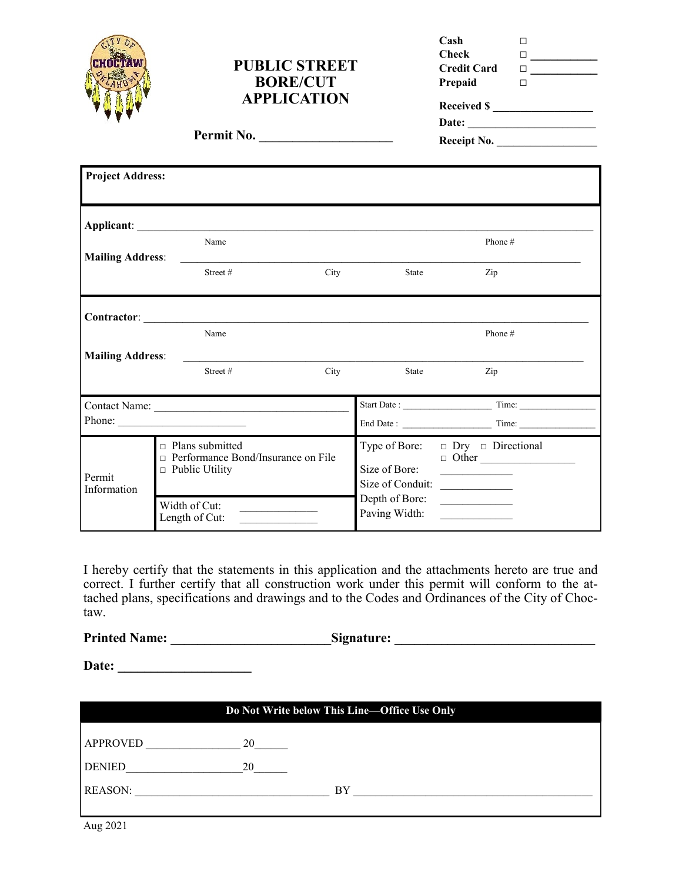|                         | <b>PUBLIC STREET</b><br><b>BORE/CUT</b><br><b>APPLICATION</b><br>Permit No.             |                                                               |                                 | Cash<br>П<br><b>Check</b><br>$\Box$ and $\Box$ and $\Box$<br><b>Credit Card</b><br>$\begin{tabular}{ c c c c } \hline \quad \quad & \quad \quad & \quad \quad & \quad \quad \\ \hline \quad \quad & \quad \quad & \quad \quad & \quad \quad \\ \hline \end{tabular}$<br>Prepaid<br>$\Box$<br>Received \$<br>Receipt No.     |  |
|-------------------------|-----------------------------------------------------------------------------------------|---------------------------------------------------------------|---------------------------------|-----------------------------------------------------------------------------------------------------------------------------------------------------------------------------------------------------------------------------------------------------------------------------------------------------------------------------|--|
| <b>Project Address:</b> |                                                                                         |                                                               |                                 |                                                                                                                                                                                                                                                                                                                             |  |
| <b>Mailing Address:</b> | Name                                                                                    | <u> 1989 - Andrea Stadt Britain, fransk politik (d. 1989)</u> |                                 | Phone #                                                                                                                                                                                                                                                                                                                     |  |
|                         | Street#                                                                                 | City                                                          | State                           | Zip                                                                                                                                                                                                                                                                                                                         |  |
|                         | Name                                                                                    | Contractor: <u>Contractor:</u>                                |                                 | Phone #                                                                                                                                                                                                                                                                                                                     |  |
| <b>Mailing Address:</b> | Street#                                                                                 | City                                                          | State                           | Zip                                                                                                                                                                                                                                                                                                                         |  |
| Phone: $\qquad \qquad$  |                                                                                         |                                                               |                                 | End Date : Time: Time:                                                                                                                                                                                                                                                                                                      |  |
| Permit<br>Information   | $\Box$ Plans submitted<br>□ Performance Bond/Insurance on File<br>$\Box$ Public Utility |                                                               | Type of Bore:<br>Size of Bore:  | $\Box$ Dry $\Box$ Directional<br>$\Box$ Other<br>$\mathcal{L}_{\text{max}}$ and $\mathcal{L}_{\text{max}}$ . The set of the set of the set of the set of the set of the set of the set of the set of the set of the set of the set of the set of the set of the set of the set of the set of the set of<br>Size of Conduit: |  |
|                         | Width of Cut:<br>the control of the control of the con-<br>Length of Cut:               |                                                               | Depth of Bore:<br>Paving Width: |                                                                                                                                                                                                                                                                                                                             |  |

I hereby certify that the statements in this application and the attachments hereto are true and correct. I further certify that all construction work under this permit will conform to the attached plans, specifications and drawings and to the Codes and Ordinances of the City of Choctaw.

**Printed Name: \_\_\_\_\_\_\_\_\_\_\_\_\_\_\_\_\_\_\_\_\_\_\_\_Signature: \_\_\_\_\_\_\_\_\_\_\_\_\_\_\_\_\_\_\_\_\_\_\_\_\_\_\_\_\_\_**

| Do Not Write below This Line-Office Use Only |    |    |  |  |  |
|----------------------------------------------|----|----|--|--|--|
| <b>APPROVED</b>                              | 20 |    |  |  |  |
| <b>DENIED</b>                                | 20 |    |  |  |  |
| <b>REASON:</b>                               |    | BY |  |  |  |
|                                              |    |    |  |  |  |